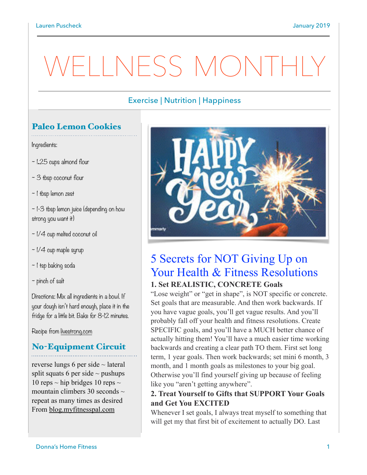# WELLNESS MONTH

### Exercise | Nutrition | Happiness

# Paleo Lemon Cookies

Ingredients:

- ~ 1**.**25 cups almond flour
- ~ 3 tbsp coconut flour
- ~ 1 tbsp lemon zest

 $\sim$  1-3 tbsp lemon juice (depending on how strong you want it)

- ~ 1/4 cup melted coconut oil
- $\sim$  1/4 cup maple syrup
- ~ 1 tsp baking soda
- ~ pinch of salt

Directions: Mix all ingredients in a bowl. If your dough isn't hard enough, place it in the fridge for a little bit. Bake for 8-12 minutes.

Recipe from [livestrong.com](http://livestrong.com)

## No-Equipment Circuit

reverse lungs 6 per side ~ lateral split squats 6 per side  $\sim$  pushups 10 reps  $\sim$  hip bridges 10 reps  $\sim$ mountain climbers 30 seconds  $\sim$ repeat as many times as desired From [blog.myfitnesspal.com](http://blog.myfitnesspal.com)



# 5 Secrets for NOT Giving Up on Your Health & Fitness Resolutions **1. Set REALISTIC, CONCRETE Goals**

"Lose weight" or "get in shape", is NOT specific or concrete. Set goals that are measurable. And then work backwards. If you have vague goals, you'll get vague results. And you'll probably fall off your health and fitness resolutions. Create SPECIFIC goals, and you'll have a MUCH better chance of actually hitting them! You'll have a much easier time working backwards and creating a clear path TO them. First set long term, 1 year goals. Then work backwards; set mini 6 month, 3 month, and 1 month goals as milestones to your big goal. Otherwise you'll find yourself giving up because of feeling like you "aren't getting anywhere".

#### **2. Treat Yourself to Gifts that SUPPORT Your Goals and Get You EXCITED**

Whenever I set goals, I always treat myself to something that will get my that first bit of excitement to actually DO. Last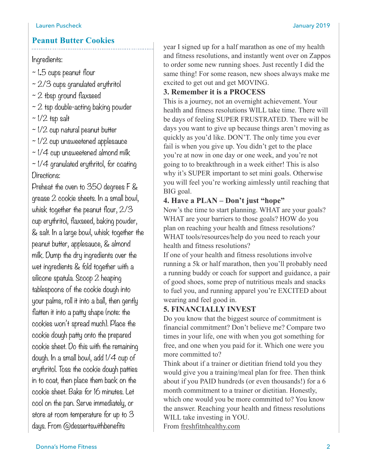#### **Peanut Butter Cookies**

Ingredients:

~ 1**.**5 cups peanut flour

 $\sim$  2/3 cups granulated erythritol

- $~2$  tbsp ground flaxseed
- $\sim$  2 tsp double-acting baking powder

 $\sim$  1/2 tsp salt

 $\sim$  1/2 cup natural peanut butter

 $\sim$   $1/2$  cup unsweetened applesauce

 $\sim$  1/4 cup unsweetened almond milk

 $\sim$  1/4 granulated erythritol, for coating Directions:

Preheat the oven to 350 degrees F & grease 2 cookie sheets. In a small bowl, whisk together the peanut flour, 2/3 cup erythritol, flaxseed, baking powder, & salt. In a large bowl, whisk together the peanut butter, applesauce, & almond milk. Dump the dry ingredients over the wet ingredients & fold together with a silicone spatula. Scoop 2 heaping tablespoons of the cookie dough into your palms, roll it into a ball, then gently flatten it into a patty shape (note: the cookies won't spread much). Place the cookie dough patty onto the prepared cookie sheet. Do this with the remaining dough. In a small bowl, add I/4 cup of erythritol. Toss the cookie dough patties in to coat, then place them back on the cookie sheet. Bake for 16 minutes. Let cool on the pan. Serve immediately, or store at room temperature for up to 3 days. From @dessertswithbenefits

year I signed up for a half marathon as one of my health and fitness resolutions, and instantly went over on Zappos to order some new running shoes. Just recently I did the same thing! For some reason, new shoes always make me excited to get out and get MOVING.

#### **3. Remember it is a PROCESS**

This is a journey, not an overnight achievement. Your health and fitness resolutions WILL take time. There will be days of feeling SUPER FRUSTRATED. There will be days you want to give up because things aren't moving as quickly as you'd like. DON'T. The only time you ever fail is when you give up. You didn't get to the place you're at now in one day or one week, and you're not going to to breakthrough in a week either! This is also why it's SUPER important to set mini goals. Otherwise you will feel you're working aimlessly until reaching that BIG goal.

#### **4. Have a PLAN – Don't just "hope"**

Now's the time to start planning. WHAT are your goals? WHAT are your barriers to those goals? HOW do you plan on reaching your health and fitness resolutions? WHAT tools/resources/help do you need to reach your health and fitness resolutions?

If one of your health and fitness resolutions involve running a 5k or half marathon, then you'll probably need a running buddy or coach for support and guidance, a pair of good shoes, some prep of nutritious meals and snacks to fuel you, and running apparel you're EXCITED about wearing and feel good in.

#### **5. FINANCIALLY INVEST**

Do you know that the biggest source of commitment is financial commitment? Don't believe me? Compare two times in your life, one with when you got something for free, and one when you paid for it. Which one were you more committed to?

Think about if a trainer or dietitian friend told you they would give you a training/meal plan for free. Then think about if you PAID hundreds (or even thousands!) for a 6 month commitment to a trainer or dietitian. Honestly, which one would you be more committed to? You know the answer. Reaching your health and fitness resolutions WILL take investing in YOU. From [freshfitnhealthy.com](http://freshfitnhealthy.com)